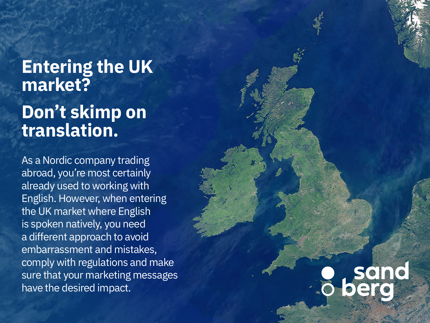# **Entering the UK market? Don't skimp on translation.**

As a Nordic company trading abroad, you're most certainly already used to working with English. However, when entering the UK market where English is spoken natively, you need a different approach to avoid embarrassment and mistakes, comply with regulations and make sure that your marketing messages have the desired impact.

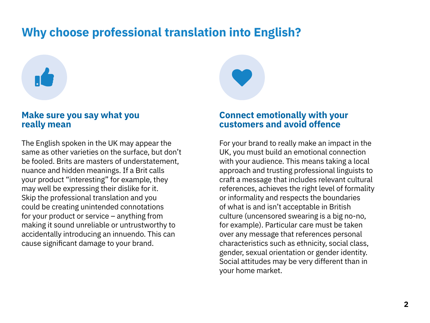# **Why choose professional translation into English?**

# $\mathbf{r}$

### **Make sure you say what you really mean**

The English spoken in the UK may appear the same as other varieties on the surface, but don't be fooled. Brits are masters of understatement, nuance and hidden meanings. If a Brit calls your product "interesting" for example, they may well be expressing their dislike for it. Skip the professional translation and you could be creating unintended connotations for your product or service – anything from making it sound unreliable or untrustworthy to accidentally introducing an innuendo. This can cause significant damage to your brand.

## **Connect emotionally with your customers and avoid offence**

For your brand to really make an impact in the UK, you must build an emotional connection with your audience. This means taking a local approach and trusting professional linguists to craft a message that includes relevant cultural references, achieves the right level of formality or informality and respects the boundaries of what is and isn't acceptable in British culture (uncensored swearing is a big no-no, for example). Particular care must be taken over any message that references personal characteristics such as ethnicity, social class, gender, sexual orientation or gender identity. Social attitudes may be very different than in your home market.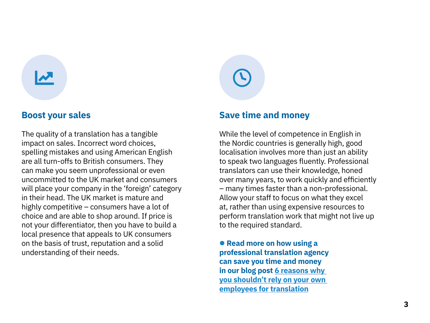$\mathbf{z}$ 

The quality of a translation has a tangible impact on sales. Incorrect word choices, spelling mistakes and using American English are all turn-offs to British consumers. They can make you seem unprofessional or even uncommitted to the UK market and consumers will place your company in the 'foreign' category in their head. The UK market is mature and highly competitive – consumers have a lot of choice and are able to shop around. If price is not your differentiator, then you have to build a local presence that appeals to UK consumers on the basis of trust, reputation and a solid understanding of their needs.

### **Boost your sales Save time and money**

 $\odot$ 

While the level of competence in English in the Nordic countries is generally high, good localisation involves more than just an ability to speak two languages fluently. Professional translators can use their knowledge, honed over many years, to work quickly and efficiently – many times faster than a non-professional. Allow your staff to focus on what they excel at, rather than using expensive resources to perform translation work that might not live up to the required standard.

 **Read more on how using a professional translation agency can save you time and money in our blog post [6 reasons why](https://stptrans.com/6-reasons-why-you-shouldnt-rely-on-your-own-employees-for-translation/?utm_source=Referral&utm_campaign=Goodwille%20brochure)  [you shouldn't rely on your own](https://stptrans.com/6-reasons-why-you-shouldnt-rely-on-your-own-employees-for-translation/?utm_source=Referral&utm_campaign=Goodwille%20brochure)  [employees for translation](https://stptrans.com/6-reasons-why-you-shouldnt-rely-on-your-own-employees-for-translation/?utm_source=Referral&utm_campaign=Goodwille%20brochure)**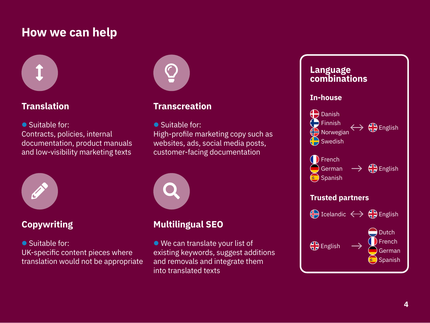## **How we can help**



● Suitable for: Contracts, policies, internal documentation, product manuals and low-visibility marketing texts



● Suitable for: UK-specific content pieces where translation would not be appropriate



## **Translation Transcreation**

● Suitable for:

High-profile marketing copy such as websites, ads, social media posts, customer-facing documentation



## **Copywriting Multilingual SEO**

 We can translate your list of existing keywords, suggest additions and removals and integrate them into translated texts